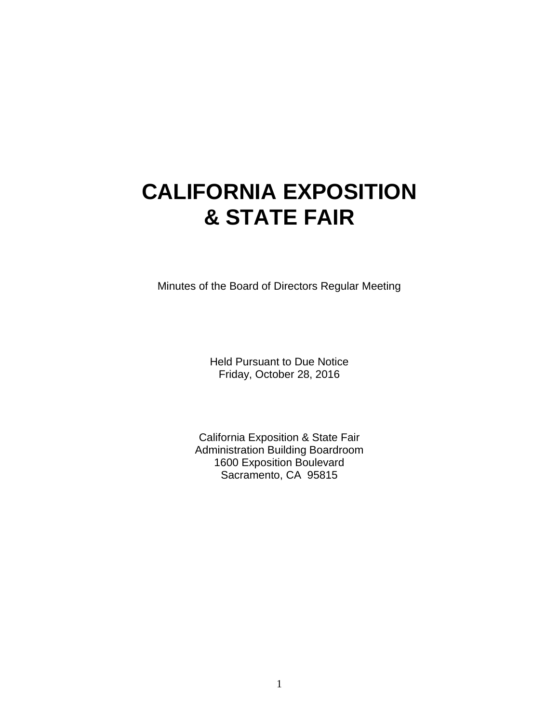# **CALIFORNIA EXPOSITION & STATE FAIR**

Minutes of the Board of Directors Regular Meeting

Held Pursuant to Due Notice Friday, October 28, 2016

California Exposition & State Fair Administration Building Boardroom 1600 Exposition Boulevard Sacramento, CA 95815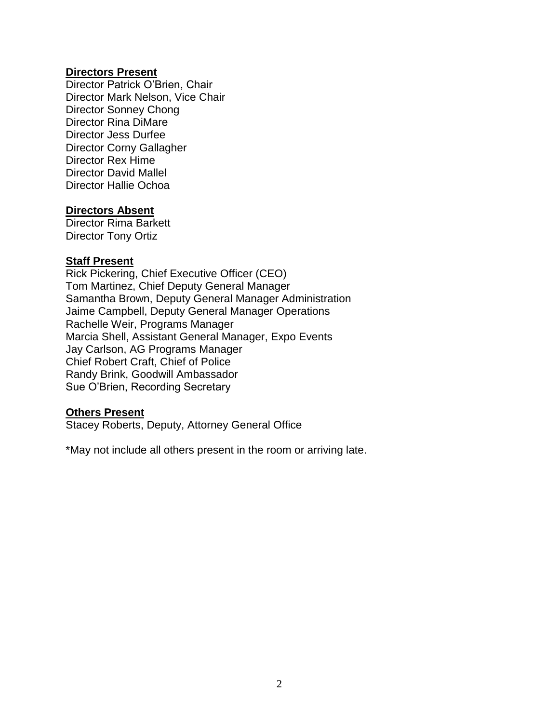#### **Directors Present**

Director Patrick O'Brien, Chair Director Mark Nelson, Vice Chair Director Sonney Chong Director Rina DiMare Director Jess Durfee Director Corny Gallagher Director Rex Hime Director David Mallel Director Hallie Ochoa

#### **Directors Absent**

Director Rima Barkett Director Tony Ortiz

#### **Staff Present**

Rick Pickering, Chief Executive Officer (CEO) Tom Martinez, Chief Deputy General Manager Samantha Brown, Deputy General Manager Administration Jaime Campbell, Deputy General Manager Operations Rachelle Weir, Programs Manager Marcia Shell, Assistant General Manager, Expo Events Jay Carlson, AG Programs Manager Chief Robert Craft, Chief of Police Randy Brink, Goodwill Ambassador Sue O'Brien, Recording Secretary

#### **Others Present**

Stacey Roberts, Deputy, Attorney General Office

\*May not include all others present in the room or arriving late.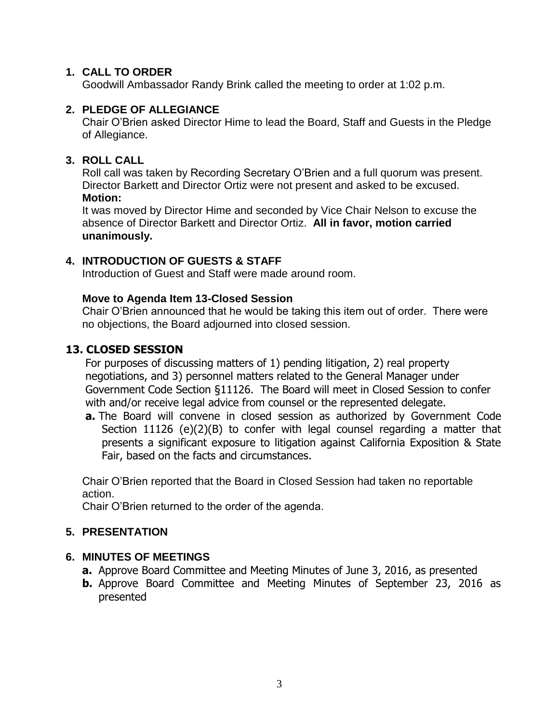## **1. CALL TO ORDER**

Goodwill Ambassador Randy Brink called the meeting to order at 1:02 p.m.

## **2. PLEDGE OF ALLEGIANCE**

Chair O'Brien asked Director Hime to lead the Board, Staff and Guests in the Pledge of Allegiance.

## **3. ROLL CALL**

Roll call was taken by Recording Secretary O'Brien and a full quorum was present. Director Barkett and Director Ortiz were not present and asked to be excused. **Motion:**

It was moved by Director Hime and seconded by Vice Chair Nelson to excuse the absence of Director Barkett and Director Ortiz. **All in favor, motion carried unanimously.**

## **4. INTRODUCTION OF GUESTS & STAFF**

Introduction of Guest and Staff were made around room.

### **Move to Agenda Item 13-Closed Session**

Chair O'Brien announced that he would be taking this item out of order. There were no objections, the Board adjourned into closed session.

## **13. CLOSED SESSION**

For purposes of discussing matters of 1) pending litigation, 2) real property negotiations, and 3) personnel matters related to the General Manager under Government Code Section §11126. The Board will meet in Closed Session to confer with and/or receive legal advice from counsel or the represented delegate.

**a.** The Board will convene in closed session as authorized by Government Code Section 11126 (e)(2)(B) to confer with legal counsel regarding a matter that presents a significant exposure to litigation against California Exposition & State Fair, based on the facts and circumstances.

Chair O'Brien reported that the Board in Closed Session had taken no reportable action.

Chair O'Brien returned to the order of the agenda.

### **5. PRESENTATION**

### **6. MINUTES OF MEETINGS**

- **a.** Approve Board Committee and Meeting Minutes of June 3, 2016, as presented
- **b.** Approve Board Committee and Meeting Minutes of September 23, 2016 as presented